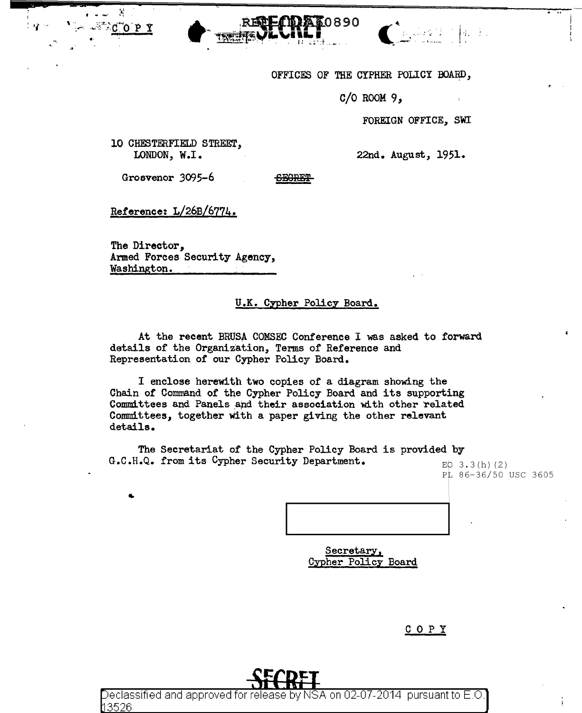



OFFICES OF THE CYPHER POLICY BOARD,

 $C/O$  ROOM  $9,$ 

FOREIGN OFFICE, SWI

10 CHESTERFIELD STREET, LONDON, W.I.

X

22nd. August, 1951.

Grosvenor 3095-6

**SEGRET** 

Reference: L/26B/6774.

The Director, Armed Forces Security Agency, Washington.

## U.K. Cypher Policy Board.

At the recent BRUSA COMSEC Conference I was asked to forward details of the Organization, Terms of Reference and Representation of our Cypher Policy Board.

I enclose herewith two copies of a diagram showing the Chain of Command of the Cypher Policy Board and its supporting Committees and Panels and their association with other related Committees, together with a paper giving the other relevant details.

The Secretariat of the Cypher Policy Board is provided by G.C.H.Q. from its Cypher Security Department.

EQ  $3.3(h)(2)$ PL 86-36/50 USC 3605

Secretary, Cypher Policy Board

COPY



Declassified and approved for release by NSA on 02-07-2014 pursuant to E.O れ3526